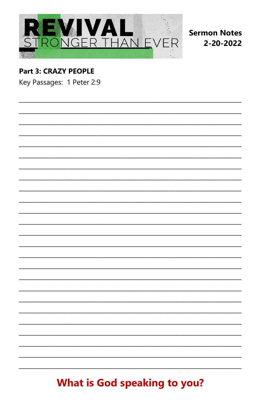

**Sermon Notes** 2-20-2022

## **Part 3: CRAZY PEOPLE**

Key Passages: 1 Peter 2:9

# **What is God speaking to you?**